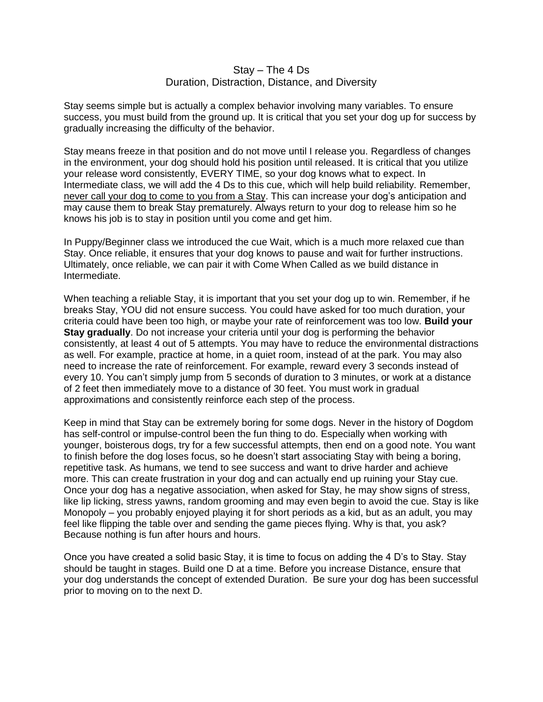## Stay – The 4 Ds Duration, Distraction, Distance, and Diversity

Stay seems simple but is actually a complex behavior involving many variables. To ensure success, you must build from the ground up. It is critical that you set your dog up for success by gradually increasing the difficulty of the behavior.

Stay means freeze in that position and do not move until I release you. Regardless of changes in the environment, your dog should hold his position until released. It is critical that you utilize your release word consistently, EVERY TIME, so your dog knows what to expect. In Intermediate class, we will add the 4 Ds to this cue, which will help build reliability. Remember, never call your dog to come to you from a Stay. This can increase your dog's anticipation and may cause them to break Stay prematurely. Always return to your dog to release him so he knows his job is to stay in position until you come and get him.

In Puppy/Beginner class we introduced the cue Wait, which is a much more relaxed cue than Stay. Once reliable, it ensures that your dog knows to pause and wait for further instructions. Ultimately, once reliable, we can pair it with Come When Called as we build distance in Intermediate.

When teaching a reliable Stay, it is important that you set your dog up to win. Remember, if he breaks Stay, YOU did not ensure success. You could have asked for too much duration, your criteria could have been too high, or maybe your rate of reinforcement was too low. **Build your Stay gradually**. Do not increase your criteria until your dog is performing the behavior consistently, at least 4 out of 5 attempts. You may have to reduce the environmental distractions as well. For example, practice at home, in a quiet room, instead of at the park. You may also need to increase the rate of reinforcement. For example, reward every 3 seconds instead of every 10. You can't simply jump from 5 seconds of duration to 3 minutes, or work at a distance of 2 feet then immediately move to a distance of 30 feet. You must work in gradual approximations and consistently reinforce each step of the process.

Keep in mind that Stay can be extremely boring for some dogs. Never in the history of Dogdom has self-control or impulse-control been the fun thing to do. Especially when working with younger, boisterous dogs, try for a few successful attempts, then end on a good note. You want to finish before the dog loses focus, so he doesn't start associating Stay with being a boring, repetitive task. As humans, we tend to see success and want to drive harder and achieve more. This can create frustration in your dog and can actually end up ruining your Stay cue. Once your dog has a negative association, when asked for Stay, he may show signs of stress, like lip licking, stress yawns, random grooming and may even begin to avoid the cue. Stay is like Monopoly – you probably enjoyed playing it for short periods as a kid, but as an adult, you may feel like flipping the table over and sending the game pieces flying. Why is that, you ask? Because nothing is fun after hours and hours.

Once you have created a solid basic Stay, it is time to focus on adding the 4 D's to Stay. Stay should be taught in stages. Build one D at a time. Before you increase Distance, ensure that your dog understands the concept of extended Duration. Be sure your dog has been successful prior to moving on to the next D.